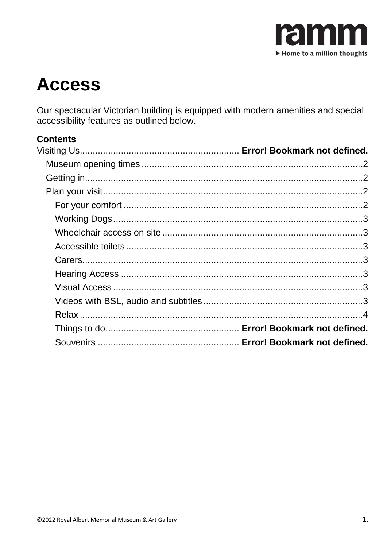

# **Access**

Our spectacular Victorian building is equipped with modern amenities and special accessibility features as outlined below.

## **Contents**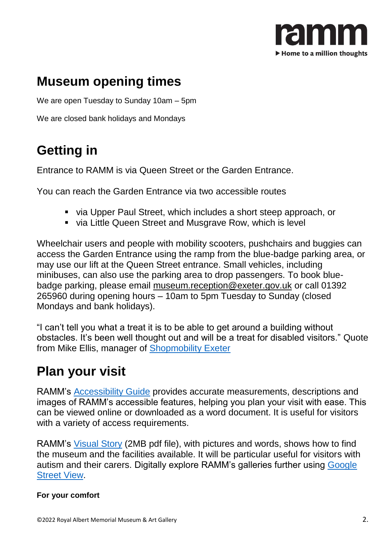

# <span id="page-1-0"></span>**Museum opening times**

We are open Tuesday to Sunday 10am – 5pm

We are closed bank holidays and Mondays

# <span id="page-1-1"></span>**Getting in**

Entrance to RAMM is via Queen Street or the Garden Entrance.

You can reach the Garden Entrance via two accessible routes

- via Upper Paul Street, which includes a short steep approach, or
- via Little Queen Street and Musgrave Row, which is level

Wheelchair users and people with mobility scooters, pushchairs and buggies can access the Garden Entrance using the ramp from the blue-badge parking area, or may use our lift at the Queen Street entrance. Small vehicles, including minibuses, can also use the parking area to drop passengers. To book bluebadge parking, please email [museum.reception@exeter.gov.uk](mailto:museum.reception@exeter.gov.uk) or call 01392 265960 during opening hours – 10am to 5pm Tuesday to Sunday (closed Mondays and bank holidays).

"I can't tell you what a treat it is to be able to get around a building without obstacles. It's been well thought out and will be a treat for disabled visitors." Quote from Mike Ellis, manager of [Shopmobility Exeter](http://www.exetercta.co.uk/shopmobility.php)

# <span id="page-1-2"></span>**Plan your visit**

RAMM's [Accessibility Guide](https://www.accessibilityguides.org/content/royal-albert-memorial-museum-art-gallery) provides accurate measurements, descriptions and images of RAMM's accessible features, helping you plan your visit with ease. This can be viewed online or downloaded as a word document. It is useful for visitors with a variety of access requirements.

RAMM's [Visual Story](https://wordpress-375010-2462088.cloudwaysapps.com/wp-content/uploads/2022/04/RAMM-Visual-Story-2017.pdf) (2MB pdf file), with pictures and words, shows how to find the museum and the facilities available. It will be particular useful for visitors with autism and their carers. Digitally explore RAMM's galleries further using [Google](https://bit.ly/RAMMstreetview)  [Street View.](https://bit.ly/RAMMstreetview)

#### <span id="page-1-3"></span>**For your comfort**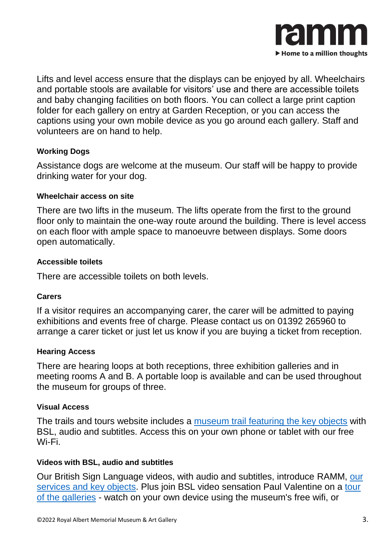

Lifts and level access ensure that the displays can be enjoyed by all. Wheelchairs and portable stools are available for visitors' use and there are accessible toilets and baby changing facilities on both floors. You can collect a large print caption folder for each gallery on entry at Garden Reception, or you can access the captions using your own mobile device as you go around each gallery. Staff and volunteers are on hand to help.

#### <span id="page-2-0"></span>**Working Dogs**

Assistance dogs are welcome at the museum. Our staff will be happy to provide drinking water for your dog.

#### <span id="page-2-1"></span>**Wheelchair access on site**

There are two lifts in the museum. The lifts operate from the first to the ground floor only to maintain the one-way route around the building. There is level access on each floor with ample space to manoeuvre between displays. Some doors open automatically.

#### <span id="page-2-2"></span>**Accessible toilets**

There are accessible toilets on both levels.

### <span id="page-2-3"></span>**Carers**

If a visitor requires an accompanying carer, the carer will be admitted to paying exhibitions and events free of charge. Please contact us on 01392 265960 to arrange a carer ticket or just let us know if you are buying a ticket from reception.

### <span id="page-2-4"></span>**Hearing Access**

There are hearing loops at both receptions, three exhibition galleries and in meeting rooms A and B. A portable loop is available and can be used throughout the museum for groups of three.

### <span id="page-2-5"></span>**Visual Access**

The trails and tours website includes a [museum trail featuring the key objects](http://m.rammtimetrail.org.uk/keyobjects/) with BSL, audio and subtitles. Access this on your own phone or tablet with our free Wi-Fi.

#### <span id="page-2-6"></span>**Videos with BSL, audio and subtitles**

Our British Sign Language videos, with audio and subtitles, introduce RAMM, [our](https://www.youtube.com/playlist?list=PLvtZwXey1PYK1E-VTIySx7cuEhXx1myTv)  [services and key objects.](https://www.youtube.com/playlist?list=PLvtZwXey1PYK1E-VTIySx7cuEhXx1myTv) Plus join BSL video sensation Paul Valentine on a [tour](https://youtube.com/playlist?list=PLvtZwXey1PYIzD8ZuufFrY5xHZXFpanD5)  [of the galleries](https://youtube.com/playlist?list=PLvtZwXey1PYIzD8ZuufFrY5xHZXFpanD5) - watch on your own device using the museum's free wifi, or